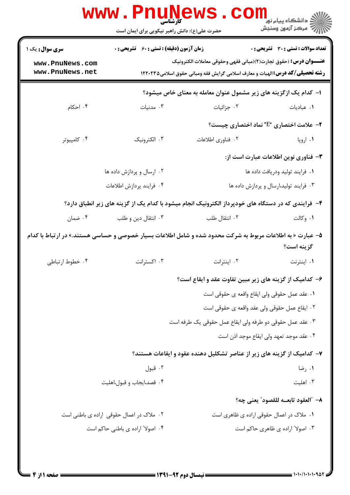|                                                                                                                          | <b>WWW.Pnunews</b><br>حضرت علی(ع): دانش راهبر نیکویی برای ایمان است                                |                                                                                                                                                                   | ڪ دانشڪاه پيام نور<br>7- مرڪز آزمون وسنڊش      |  |
|--------------------------------------------------------------------------------------------------------------------------|----------------------------------------------------------------------------------------------------|-------------------------------------------------------------------------------------------------------------------------------------------------------------------|------------------------------------------------|--|
| <b>سری سوال :</b> یک ۱                                                                                                   | <b>زمان آزمون (دقیقه) : تستی : 60 ٪ تشریحی : 0</b><br><b>تعداد سوالات : تستی : 30 ٪ تشریحی : 0</b> |                                                                                                                                                                   |                                                |  |
| www.PnuNews.com<br>www.PnuNews.net                                                                                       |                                                                                                    | <b>عنـــوان درس :</b> (حقوق تجارت(٢)(مباني فقهي وحقوقي معاملات الكترونيك<br><b>رشته تحصیلی/کد درس: ا</b> لهیات و معارف اسلامی گرایش فقه ومبانی حقوق اسلامی1۲۲۰۲۳۵ |                                                |  |
| ا– کدام یک ازگزینه های زیر مشمول عنوان معامله به معنای خاص میشود؟                                                        |                                                                                                    |                                                                                                                                                                   |                                                |  |
| ۰۴ احکام                                                                                                                 | ۰۳ مدنیات                                                                                          | ۰۲ جزائیات                                                                                                                                                        | ٠. عباديات                                     |  |
|                                                                                                                          |                                                                                                    |                                                                                                                                                                   | <b>۲-</b> علامت اختصاری "E" نماد اختصاری چیست؟ |  |
| ۰۴ کامپیوتر                                                                                                              | ۰۳ الکترونیک                                                                                       | ٢. فناوري اطلاعات                                                                                                                                                 | ۰۱ اروپا                                       |  |
|                                                                                                                          |                                                                                                    |                                                                                                                                                                   | ٣- فناوري نوين اطلاعات عبارت است از:           |  |
|                                                                                                                          | ۰۲ ارسال و پردازش داده ها                                                                          |                                                                                                                                                                   | ٠١ فرايند توليد ودريافت داده ها                |  |
|                                                                                                                          | ۴. فرايند پردازش اطلاعات                                                                           |                                                                                                                                                                   | ۰۳ فرایند تولید،ارسال و پردازش داده ها         |  |
| ۴– فرایندی که در دستگاه های خودپرداز الکترونیک انجام میشود با کدام یک از گزینه های زیر انطباق دارد؟                      |                                                                                                    |                                                                                                                                                                   |                                                |  |
| ۰۴ ضمان                                                                                                                  | ۰۳ انتقال دين و طلب                                                                                | ۰۲ انتقال طلب                                                                                                                                                     | ۰۱ وکالت                                       |  |
| ۵– عبارت « به اطلاعات مربوط به شرکت محدود شده و شامل اطلاعات بسیار خصوصی و حساسی هستند.» در ارتباط با کدام<br>گزينه است؟ |                                                                                                    |                                                                                                                                                                   |                                                |  |
| ۰۴ خطوط ارتباطي                                                                                                          | ۰۳ اکسترانت                                                                                        | ٠٢ اينترانت                                                                                                                                                       | ۰۱ اینترنت                                     |  |
|                                                                                                                          |                                                                                                    | ۶– کدامیک از گزینه های زیر مبین تفاوت عقد و ایقاع است؟                                                                                                            |                                                |  |
|                                                                                                                          |                                                                                                    | ٠١ عقد عمل حقوقي ولي ايقاع واقعه ي حقوقي است                                                                                                                      |                                                |  |
|                                                                                                                          |                                                                                                    | ٠٢ ايقاع عمل حقوقي ولي عقد واقعه ي حقوقي است                                                                                                                      |                                                |  |
|                                                                                                                          |                                                                                                    | ۰۳ عقد عمل حقوقي دو طرفه ولي ايقاع عمل حقوقي يک طرفه است                                                                                                          |                                                |  |
|                                                                                                                          |                                                                                                    |                                                                                                                                                                   | ۰۴ عقد موجد تعهد ولي ايقاع موجد اذن است        |  |
|                                                                                                                          |                                                                                                    | ۷– کدامیک از گزینه های زیر از عناصر تشکلیل دهنده عقود و ایقاعات هستند؟                                                                                            |                                                |  |
|                                                                                                                          | ۰۲ قبول                                                                                            |                                                                                                                                                                   | ۰۱ رضا                                         |  |
|                                                                                                                          | ۰۴ قصد،ایجاب و قبول،اهلیت                                                                          |                                                                                                                                                                   | ۰۳ اهلیت                                       |  |
|                                                                                                                          |                                                                                                    |                                                                                                                                                                   | ٨– "العقود تابعــه للقصود" يعني چه؟            |  |
|                                                                                                                          | ۰۲ ملاک در اعمال حقوقی اراده ی باطنی است                                                           |                                                                                                                                                                   | ۰۱ ملاک در اعمال حقوقی اراده ی ظاهری است       |  |
|                                                                                                                          | ۰۴ اصولا" اراده ی باطنی حاکم است                                                                   |                                                                                                                                                                   | ۰۳ اصولا" اراده ی ظاهری حاکم است               |  |
|                                                                                                                          |                                                                                                    |                                                                                                                                                                   |                                                |  |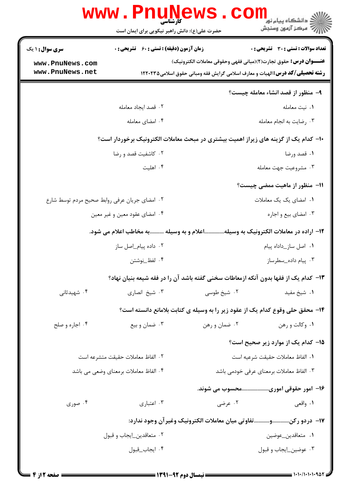| <b>زمان آزمون (دقیقه) : تستی : 60 ٪ تشریحی : 0</b><br><b>سری سوال :</b> ۱ یک<br><b>عنـــوان درس:</b> حقوق تجارت(٢)(مباني فقهي وحقوقي معاملات الكترونيك)<br>www.PnuNews.com<br>www.PnuNews.net<br><b>رشته تحصیلی/کد درس: ا</b> لهیات و معارف اسلامی گرایش فقه ومبانی حقوق اسلامی1۲۲۰۲۳۵<br>۰۱ نیت معامله<br>٠٢ قصد ايجاد معامله<br>۰۴ امضای معامله<br>۰۳ رضایت به انجام معامله<br>۰۲ کاشفیت قصد و رضا<br>۰۱ قصد ورضا<br>۰۴ اهلیت<br>۰۳ مشروعيت جهت معامله |                                                                                     | حضرت علی(ع): دانش راهبر نیکویی برای ایمان است | <b>WWW.Pnunews</b> | الا دانشگاه پیام نور COIL<br>این مرکز آزمون وسنجش |  |  |
|----------------------------------------------------------------------------------------------------------------------------------------------------------------------------------------------------------------------------------------------------------------------------------------------------------------------------------------------------------------------------------------------------------------------------------------------------------|-------------------------------------------------------------------------------------|-----------------------------------------------|--------------------|---------------------------------------------------|--|--|
|                                                                                                                                                                                                                                                                                                                                                                                                                                                          |                                                                                     |                                               |                    | <b>تعداد سوالات : تستی : 30 ٪ تشریحی : 0</b>      |  |  |
|                                                                                                                                                                                                                                                                                                                                                                                                                                                          |                                                                                     |                                               |                    |                                                   |  |  |
|                                                                                                                                                                                                                                                                                                                                                                                                                                                          |                                                                                     |                                               |                    |                                                   |  |  |
|                                                                                                                                                                                                                                                                                                                                                                                                                                                          | ۹- منظور از قصد انشاء معامله چیست؟                                                  |                                               |                    |                                                   |  |  |
|                                                                                                                                                                                                                                                                                                                                                                                                                                                          |                                                                                     |                                               |                    |                                                   |  |  |
|                                                                                                                                                                                                                                                                                                                                                                                                                                                          |                                                                                     |                                               |                    |                                                   |  |  |
|                                                                                                                                                                                                                                                                                                                                                                                                                                                          | ∙ا− کدام یک از گزینه های زیراز اهمیت بیشتری در مبحث معاملات الکترونیک برخوردار است؟ |                                               |                    |                                                   |  |  |
|                                                                                                                                                                                                                                                                                                                                                                                                                                                          |                                                                                     |                                               |                    |                                                   |  |  |
|                                                                                                                                                                                                                                                                                                                                                                                                                                                          |                                                                                     |                                               |                    |                                                   |  |  |
|                                                                                                                                                                                                                                                                                                                                                                                                                                                          |                                                                                     |                                               |                    | 11- منظور از ماهیت ممضی چیست؟                     |  |  |
| ۰۱ امضای یک یک معاملات<br>٠٢ امضاى جريان عرفى روابط صحيح مردم توسط شارع                                                                                                                                                                                                                                                                                                                                                                                  |                                                                                     |                                               |                    |                                                   |  |  |
| ۰۳ امضای بیع و اجاره<br>۰۴ امضای عقود معین و غیر معین                                                                                                                                                                                                                                                                                                                                                                                                    |                                                                                     |                                               |                    |                                                   |  |  |
| ۱۲– اراده در معاملات الکترونیک به وسیلهاعلام و به وسیله به مخاطب اعلام می شود.                                                                                                                                                                                                                                                                                                                                                                           |                                                                                     |                                               |                    |                                                   |  |  |
| ٠١ اصل ساز_داداه پيام<br>۰۲ داده پیام_اصل ساز                                                                                                                                                                                                                                                                                                                                                                                                            |                                                                                     |                                               |                    |                                                   |  |  |
| ۰۳ پیام داده_سطرساز<br>۰۴ لفظ_نوشتن                                                                                                                                                                                                                                                                                                                                                                                                                      |                                                                                     |                                               |                    |                                                   |  |  |
| ۱۳– کدام یک از فقها بدون آنکه ازمعاطات سخنی گفته باشد آن را در فقه شیعه بنیان نهاد؟                                                                                                                                                                                                                                                                                                                                                                      |                                                                                     |                                               |                    |                                                   |  |  |
| ۰۳ شیخ انصاری<br>۰۲ شیخ طوسی<br>۰۴ شهیدثانی<br>۰۱ شیخ مفید                                                                                                                                                                                                                                                                                                                                                                                               |                                                                                     |                                               |                    |                                                   |  |  |
| ۱۴- محقق حلی وقوع کدام یک از عقود زیر را به وسیله ی کتابت بلامانع دانسته است؟                                                                                                                                                                                                                                                                                                                                                                            |                                                                                     |                                               |                    |                                                   |  |  |
| ۰۴ اجاره و صلح<br>۰۳ ضمان و بیع<br>۰۲ ضمان و رهن<br>۰۱ وکالت و رهن                                                                                                                                                                                                                                                                                                                                                                                       |                                                                                     |                                               |                    |                                                   |  |  |
| 1۵– کدام یک از موارد زیر صحیح است؟                                                                                                                                                                                                                                                                                                                                                                                                                       |                                                                                     |                                               |                    |                                                   |  |  |
| ٠١ الفاظ معاملات حقيقت شرعيه است<br>٢. الفاظ معاملات حقيقت متشرعه است                                                                                                                                                                                                                                                                                                                                                                                    |                                                                                     |                                               |                    |                                                   |  |  |
| ۴. الفاظ معاملات برمعناي وضعي مي باشد<br>۰۳ الفاظ معاملات برمعناي عرفي خودمي باشد                                                                                                                                                                                                                                                                                                                                                                        |                                                                                     |                                               |                    |                                                   |  |  |
| ۱۶– امور حقوقی اموریمحسوب می شوند.                                                                                                                                                                                                                                                                                                                                                                                                                       |                                                                                     |                                               |                    |                                                   |  |  |
| ۰۲ عرضی<br>۰۳ اعتباری<br>۰۱ واقعی<br>۰۴ صوری                                                                                                                                                                                                                                                                                                                                                                                                             |                                                                                     |                                               |                    |                                                   |  |  |
| ۱۷−  دردو رکنوتفاوتی میان معاملات الکترونیک وغیر آن وجود ندارد:                                                                                                                                                                                                                                                                                                                                                                                          |                                                                                     |                                               |                    |                                                   |  |  |
| ٠١ متعاقدين_عوضين<br>۰۲ متعاقدين_ايجاب و قبول                                                                                                                                                                                                                                                                                                                                                                                                            |                                                                                     |                                               |                    |                                                   |  |  |
| ۰۴ ايجاب_قبول<br>۰۳ عوضين_ايجاب و قبول                                                                                                                                                                                                                                                                                                                                                                                                                   |                                                                                     |                                               |                    |                                                   |  |  |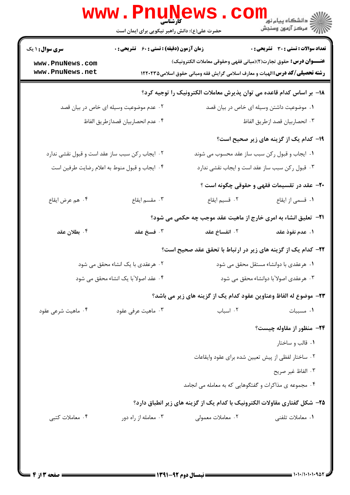|                                                                      | www.PnuNews<br>حضرت علی(ع): دانش راهبر نیکویی برای ایمان است |                                                                                                                                                                 | ڪ دانشڪاه پيام نور<br><mark>√</mark> مرڪز آزمون وسنڊش |  |  |
|----------------------------------------------------------------------|--------------------------------------------------------------|-----------------------------------------------------------------------------------------------------------------------------------------------------------------|-------------------------------------------------------|--|--|
| <b>سری سوال : ۱ یک</b>                                               | <b>زمان آزمون (دقیقه) : تستی : 60 ٪ تشریحی : 0</b>           |                                                                                                                                                                 | <b>تعداد سوالات : تستی : 30 ٪ تشریحی : 0</b>          |  |  |
| www.PnuNews.com<br>www.PnuNews.net                                   |                                                              | <b>عنـــوان درس:</b> حقوق تجارت(٢)(مباني فقهي وحقوقي معاملات الكترونيك)<br><b>رشته تحصیلی/کد درس:</b> الهیات و معارف اسلامی گرایش فقه ومبانی حقوق اسلامی۱۲۲۰۲۳۵ |                                                       |  |  |
| ۱۸− بر اساس کدام قاعده می توان پذیرش معاملات الکترونیک را توجیه کرد؟ |                                                              |                                                                                                                                                                 |                                                       |  |  |
|                                                                      | ۰۲ عدم موضوعیت وسیله ای خاص در بیان قصد                      |                                                                                                                                                                 | ۰۱ موضوعیت داشتن وسیله ای خاص در بیان قصد             |  |  |
|                                                                      | ٠۴ عدم انحصاربيان قصدازطريق الفاظ                            |                                                                                                                                                                 | ٠٣ انحصاربيان قصد ازطريق الفاظ                        |  |  |
|                                                                      |                                                              |                                                                                                                                                                 | <b>۱۹</b> - کدام یک از گزینه های زیر صحیح است؟        |  |  |
| ۰۲ ایجاب رکن سبب ساز عقد است و قبول نقشی ندارد                       |                                                              | ۰۱ ایجاب و قبول رکن سبب ساز عقد محسوب می شوند                                                                                                                   |                                                       |  |  |
| ۰۴ ایجاب و قبول منوط به اعلام رضایت طرفین است                        |                                                              | ۰۳ قبول رکن سبب ساز عقد است و ایجاب نقشی ندارد                                                                                                                  |                                                       |  |  |
|                                                                      |                                                              |                                                                                                                                                                 | <b>۲۰</b> - عقد در تقسیمات فقهی و حقوقی چگونه است ؟   |  |  |
| ۰۴ هم عرض ايقاع                                                      | ۰۳ مقسم ایقاع                                                | ۰۲ قسیم ایقاع                                                                                                                                                   | ٠١ قسمي از ايقاع                                      |  |  |
|                                                                      |                                                              | <b>۲۱</b> - تعلیق انشاء به امری خارج از ماهیت عقد موجب چه حکمی می شود؟                                                                                          |                                                       |  |  |
| ۰۴ بطلان عقد                                                         | ۰۳ فسخ عقد                                                   | ۰۲ انفساخ عقد                                                                                                                                                   | ١. عدم نفوذ عقد                                       |  |  |
| <b>۲۲</b> - کدام یک از گزینه های زیر در ارتباط با تحقق عقد صحیح است؟ |                                                              |                                                                                                                                                                 |                                                       |  |  |
| ۰۲ هرعقدی با یک انشاء محقق می شود                                    |                                                              | ۰۱ هرعقدی با دوانشاء مستقل محقق می شود                                                                                                                          |                                                       |  |  |
| ۰۴ عقد اصولا"با یک انشاء محقق می شود                                 |                                                              |                                                                                                                                                                 | ۰۳ هرعقدی اصولا″با دوانشاء محقق می شود                |  |  |
|                                                                      |                                                              | ٢٣– موضوع له الفاظ وعناوين عقود كدام يك از گزينه هاي زير مي باشد؟                                                                                               |                                                       |  |  |
| ۰۴ ماهیت شرعی عقود                                                   | ۰۳ ماهيت عرفي عقود                                           | ٠٢ اسباب                                                                                                                                                        | ۰۱ مسببات                                             |  |  |
|                                                                      |                                                              |                                                                                                                                                                 | ۲۴- منظور از مقاوله چیست؟                             |  |  |
|                                                                      |                                                              |                                                                                                                                                                 | ۰۱ قالب و ساختار                                      |  |  |
|                                                                      |                                                              | ٠٢ ساختار لفظي از پيش تعيين شده براي عقود وايقاعات                                                                                                              |                                                       |  |  |
|                                                                      |                                                              |                                                                                                                                                                 | ٠٣ الفاظ غير صريح                                     |  |  |
|                                                                      |                                                              | ۰۴ مجموعه ی مذاکرات و گفتگوهایی که به معامله می انجامد                                                                                                          |                                                       |  |  |
|                                                                      |                                                              | ۲۵- شکل گفتاری مقاولات الکترونیک با کدام یک از گزینه های زیر انطباق دارد؟                                                                                       |                                                       |  |  |
| ۰۴ معاملات كتبي                                                      | ۰۳ معامله از راه دور                                         | ۰۲ معاملات معمولی                                                                                                                                               | ٠١. معاملات تلفني                                     |  |  |
|                                                                      |                                                              |                                                                                                                                                                 |                                                       |  |  |
|                                                                      |                                                              |                                                                                                                                                                 |                                                       |  |  |
|                                                                      |                                                              |                                                                                                                                                                 |                                                       |  |  |

1.1.1.1.1.902